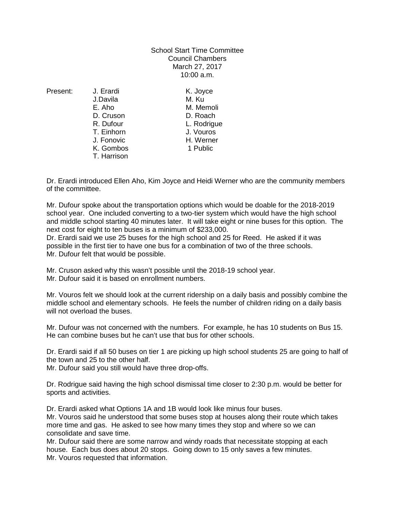School Start Time Committee Council Chambers March 27, 2017 10:00 a.m.

J.Davila M. Ku E. Aho M. Memoli D. Cruson **D. Roach**<br>
R. Dufour **D. Roach**<br>
L. Rodriau T. Einhorn J. Fonovic H. Werner K. Gombos 1 Public T. Harrison

Present: J. Erardi K. Jovce L. Rodrigue<br>J. Vouros

Dr. Erardi introduced Ellen Aho, Kim Joyce and Heidi Werner who are the community members of the committee.

Mr. Dufour spoke about the transportation options which would be doable for the 2018-2019 school year. One included converting to a two-tier system which would have the high school and middle school starting 40 minutes later. It will take eight or nine buses for this option. The next cost for eight to ten buses is a minimum of \$233,000.

Dr. Erardi said we use 25 buses for the high school and 25 for Reed. He asked if it was possible in the first tier to have one bus for a combination of two of the three schools. Mr. Dufour felt that would be possible.

Mr. Cruson asked why this wasn't possible until the 2018-19 school year. Mr. Dufour said it is based on enrollment numbers.

Mr. Vouros felt we should look at the current ridership on a daily basis and possibly combine the middle school and elementary schools. He feels the number of children riding on a daily basis will not overload the buses.

Mr. Dufour was not concerned with the numbers. For example, he has 10 students on Bus 15. He can combine buses but he can't use that bus for other schools.

Dr. Erardi said if all 50 buses on tier 1 are picking up high school students 25 are going to half of the town and 25 to the other half.

Mr. Dufour said you still would have three drop-offs.

Dr. Rodrigue said having the high school dismissal time closer to 2:30 p.m. would be better for sports and activities.

Dr. Erardi asked what Options 1A and 1B would look like minus four buses.

Mr. Vouros said he understood that some buses stop at houses along their route which takes more time and gas. He asked to see how many times they stop and where so we can consolidate and save time.

Mr. Dufour said there are some narrow and windy roads that necessitate stopping at each house. Each bus does about 20 stops. Going down to 15 only saves a few minutes. Mr. Vouros requested that information.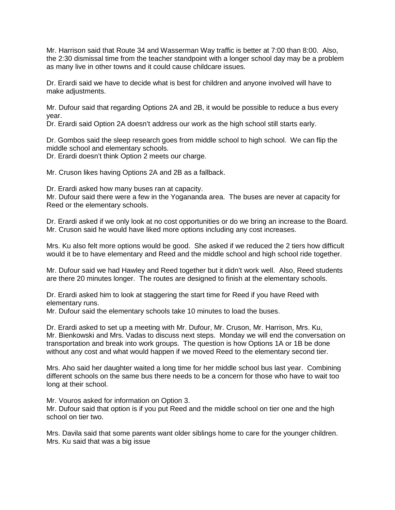Mr. Harrison said that Route 34 and Wasserman Way traffic is better at 7:00 than 8:00. Also, the 2:30 dismissal time from the teacher standpoint with a longer school day may be a problem as many live in other towns and it could cause childcare issues.

Dr. Erardi said we have to decide what is best for children and anyone involved will have to make adjustments.

Mr. Dufour said that regarding Options 2A and 2B, it would be possible to reduce a bus every year.

Dr. Erardi said Option 2A doesn't address our work as the high school still starts early.

Dr. Gombos said the sleep research goes from middle school to high school. We can flip the middle school and elementary schools.

Dr. Erardi doesn't think Option 2 meets our charge.

Mr. Cruson likes having Options 2A and 2B as a fallback.

Dr. Erardi asked how many buses ran at capacity.

Mr. Dufour said there were a few in the Yogananda area. The buses are never at capacity for Reed or the elementary schools.

Dr. Erardi asked if we only look at no cost opportunities or do we bring an increase to the Board. Mr. Cruson said he would have liked more options including any cost increases.

Mrs. Ku also felt more options would be good. She asked if we reduced the 2 tiers how difficult would it be to have elementary and Reed and the middle school and high school ride together.

Mr. Dufour said we had Hawley and Reed together but it didn't work well. Also, Reed students are there 20 minutes longer. The routes are designed to finish at the elementary schools.

Dr. Erardi asked him to look at staggering the start time for Reed if you have Reed with elementary runs.

Mr. Dufour said the elementary schools take 10 minutes to load the buses.

Dr. Erardi asked to set up a meeting with Mr. Dufour, Mr. Cruson, Mr. Harrison, Mrs. Ku, Mr. Bienkowski and Mrs. Vadas to discuss next steps. Monday we will end the conversation on transportation and break into work groups. The question is how Options 1A or 1B be done without any cost and what would happen if we moved Reed to the elementary second tier.

Mrs. Aho said her daughter waited a long time for her middle school bus last year. Combining different schools on the same bus there needs to be a concern for those who have to wait too long at their school.

Mr. Vouros asked for information on Option 3.

Mr. Dufour said that option is if you put Reed and the middle school on tier one and the high school on tier two.

Mrs. Davila said that some parents want older siblings home to care for the younger children. Mrs. Ku said that was a big issue